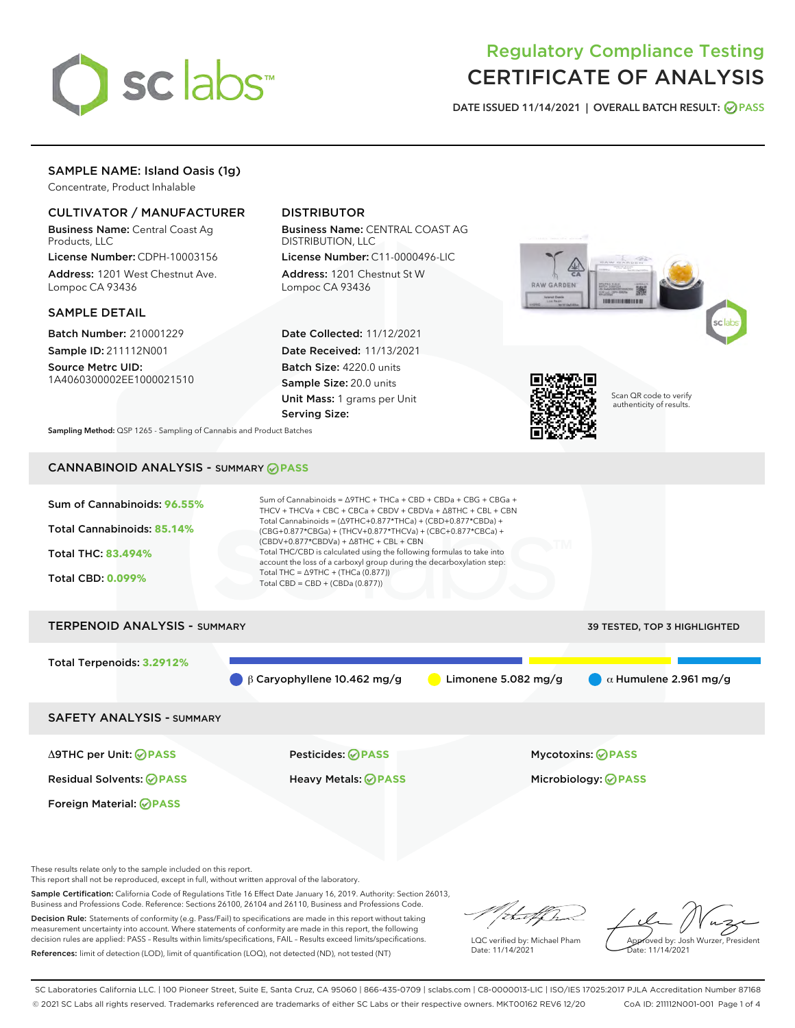

# Regulatory Compliance Testing CERTIFICATE OF ANALYSIS

DATE ISSUED 11/14/2021 | OVERALL BATCH RESULT: @ PASS

# SAMPLE NAME: Island Oasis (1g)

Concentrate, Product Inhalable

# CULTIVATOR / MANUFACTURER

Business Name: Central Coast Ag Products, LLC

License Number: CDPH-10003156 Address: 1201 West Chestnut Ave. Lompoc CA 93436

#### SAMPLE DETAIL

Batch Number: 210001229 Sample ID: 211112N001

Source Metrc UID: 1A4060300002EE1000021510

# DISTRIBUTOR

Business Name: CENTRAL COAST AG DISTRIBUTION, LLC

License Number: C11-0000496-LIC Address: 1201 Chestnut St W Lompoc CA 93436

Date Collected: 11/12/2021 Date Received: 11/13/2021 Batch Size: 4220.0 units Sample Size: 20.0 units Unit Mass: 1 grams per Unit Serving Size:





Scan QR code to verify authenticity of results.

Sampling Method: QSP 1265 - Sampling of Cannabis and Product Batches

# CANNABINOID ANALYSIS - SUMMARY **PASS**



β Caryophyllene 10.462 mg/g **b** Limonene 5.082 mg/g  $\alpha$  Humulene 2.961 mg/g

SAFETY ANALYSIS - SUMMARY

Δ9THC per Unit: **PASS** Pesticides: **PASS** Mycotoxins: **PASS**

Foreign Material: **PASS**

Residual Solvents: **PASS** Heavy Metals: **PASS** Microbiology: **PASS**

These results relate only to the sample included on this report.

This report shall not be reproduced, except in full, without written approval of the laboratory.

Sample Certification: California Code of Regulations Title 16 Effect Date January 16, 2019. Authority: Section 26013, Business and Professions Code. Reference: Sections 26100, 26104 and 26110, Business and Professions Code. Decision Rule: Statements of conformity (e.g. Pass/Fail) to specifications are made in this report without taking

measurement uncertainty into account. Where statements of conformity are made in this report, the following decision rules are applied: PASS – Results within limits/specifications, FAIL – Results exceed limits/specifications. References: limit of detection (LOD), limit of quantification (LOQ), not detected (ND), not tested (NT)

that f(ha

LQC verified by: Michael Pham Date: 11/14/2021

Approved by: Josh Wurzer, President ate: 11/14/2021

SC Laboratories California LLC. | 100 Pioneer Street, Suite E, Santa Cruz, CA 95060 | 866-435-0709 | sclabs.com | C8-0000013-LIC | ISO/IES 17025:2017 PJLA Accreditation Number 87168 © 2021 SC Labs all rights reserved. Trademarks referenced are trademarks of either SC Labs or their respective owners. MKT00162 REV6 12/20 CoA ID: 211112N001-001 Page 1 of 4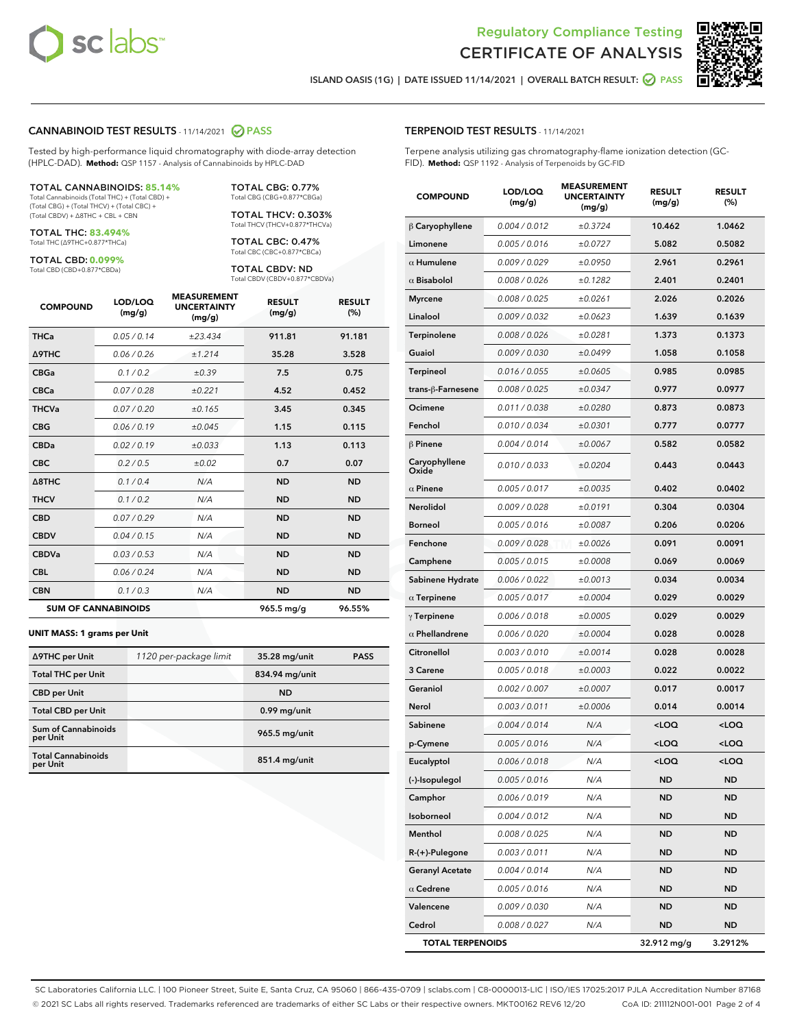

Terpene analysis utilizing gas chromatography-flame ionization detection (GC-



Ī

ISLAND OASIS (1G) | DATE ISSUED 11/14/2021 | OVERALL BATCH RESULT: **○** PASS

TERPENOID TEST RESULTS - 11/14/2021

#### CANNABINOID TEST RESULTS - 11/14/2021 2 PASS

Tested by high-performance liquid chromatography with diode-array detection (HPLC-DAD). **Method:** QSP 1157 - Analysis of Cannabinoids by HPLC-DAD

#### TOTAL CANNABINOIDS: **85.14%**

Total Cannabinoids (Total THC) + (Total CBD) + (Total CBG) + (Total THCV) + (Total CBC) + (Total CBDV) + ∆8THC + CBL + CBN

TOTAL THC: **83.494%** Total THC (∆9THC+0.877\*THCa)

TOTAL CBD: **0.099%**

Total CBD (CBD+0.877\*CBDa)

TOTAL CBG: 0.77% Total CBG (CBG+0.877\*CBGa)

TOTAL THCV: 0.303% Total THCV (THCV+0.877\*THCVa)

TOTAL CBC: 0.47% Total CBC (CBC+0.877\*CBCa)

TOTAL CBDV: ND Total CBDV (CBDV+0.877\*CBDVa)

| <b>COMPOUND</b>  | LOD/LOQ<br>(mg/g)          | <b>MEASUREMENT</b><br><b>UNCERTAINTY</b><br>(mg/g) | <b>RESULT</b><br>(mg/g) | <b>RESULT</b><br>(%) |
|------------------|----------------------------|----------------------------------------------------|-------------------------|----------------------|
| <b>THCa</b>      | 0.05/0.14                  | ±23.434                                            | 911.81                  | 91.181               |
| <b>A9THC</b>     | 0.06 / 0.26                | ±1.214                                             | 35.28                   | 3.528                |
| <b>CBGa</b>      | 0.1 / 0.2                  | ±0.39                                              | 7.5                     | 0.75                 |
| <b>CBCa</b>      | 0.07 / 0.28                | ±0.221                                             | 4.52                    | 0.452                |
| <b>THCVa</b>     | 0.07 / 0.20                | ±0.165                                             | 3.45                    | 0.345                |
| <b>CBG</b>       | 0.06/0.19                  | ±0.045                                             | 1.15                    | 0.115                |
| <b>CBDa</b>      | 0.02/0.19                  | ±0.033                                             | 1.13                    | 0.113                |
| <b>CBC</b>       | 0.2 / 0.5                  | ±0.02                                              | 0.7                     | 0.07                 |
| $\triangle$ 8THC | 0.1 / 0.4                  | N/A                                                | <b>ND</b>               | <b>ND</b>            |
| <b>THCV</b>      | 0.1/0.2                    | N/A                                                | <b>ND</b>               | <b>ND</b>            |
| <b>CBD</b>       | 0.07/0.29                  | N/A                                                | <b>ND</b>               | <b>ND</b>            |
| <b>CBDV</b>      | 0.04 / 0.15                | N/A                                                | <b>ND</b>               | <b>ND</b>            |
| <b>CBDVa</b>     | 0.03 / 0.53                | N/A                                                | <b>ND</b>               | <b>ND</b>            |
| <b>CBL</b>       | 0.06 / 0.24                | N/A                                                | <b>ND</b>               | <b>ND</b>            |
| <b>CBN</b>       | 0.1 / 0.3                  | N/A                                                | <b>ND</b>               | <b>ND</b>            |
|                  | <b>SUM OF CANNABINOIDS</b> |                                                    | 965.5 mg/g              | 96.55%               |

#### **UNIT MASS: 1 grams per Unit**

| ∆9THC per Unit                        | 1120 per-package limit | 35.28 mg/unit   | <b>PASS</b> |
|---------------------------------------|------------------------|-----------------|-------------|
| <b>Total THC per Unit</b>             |                        | 834.94 mg/unit  |             |
| <b>CBD</b> per Unit                   |                        | <b>ND</b>       |             |
| <b>Total CBD per Unit</b>             |                        | $0.99$ mg/unit  |             |
| Sum of Cannabinoids<br>per Unit       |                        | 965.5 mg/unit   |             |
| <b>Total Cannabinoids</b><br>per Unit |                        | $851.4$ mg/unit |             |

| FID). Method: QSP 1192 - Analysis of Terpenoids by GC-FID |                      |                                                    |                                                 |                      |  |  |
|-----------------------------------------------------------|----------------------|----------------------------------------------------|-------------------------------------------------|----------------------|--|--|
| <b>COMPOUND</b>                                           | LOD/LOQ<br>(mg/g)    | <b>MEASUREMENT</b><br><b>UNCERTAINTY</b><br>(mg/g) | <b>RESULT</b><br>(mg/g)                         | <b>RESULT</b><br>(%) |  |  |
| $\beta$ Caryophyllene                                     | 0.004 / 0.012        | ±0.3724                                            | 10.462                                          | 1.0462               |  |  |
| Limonene                                                  | 0.005 / 0.016        | ±0.0727                                            | 5.082                                           | 0.5082               |  |  |
| $\alpha$ Humulene                                         | 0.009 / 0.029        | ±0.0950                                            | 2.961                                           | 0.2961               |  |  |
| $\alpha$ Bisabolol                                        | 0.008 / 0.026        | ±0.1282                                            | 2.401                                           | 0.2401               |  |  |
| <b>Myrcene</b>                                            | 0.008 / 0.025        | ±0.0261                                            | 2.026                                           | 0.2026               |  |  |
| Linalool                                                  | 0.009 / 0.032        | ±0.0623                                            | 1.639                                           | 0.1639               |  |  |
| Terpinolene                                               | 0.008 / 0.026        | ±0.0281                                            | 1.373                                           | 0.1373               |  |  |
| Guaiol                                                    | <i>0.009 / 0.030</i> | ±0.0499                                            | 1.058                                           | 0.1058               |  |  |
| <b>Terpineol</b>                                          | 0.016 / 0.055        | ±0.0605                                            | 0.985                                           | 0.0985               |  |  |
| trans-β-Farnesene                                         | 0.008 / 0.025        | ±0.0347                                            | 0.977                                           | 0.0977               |  |  |
| Ocimene                                                   | 0.011 / 0.038        | ±0.0280                                            | 0.873                                           | 0.0873               |  |  |
| Fenchol                                                   | 0.010 / 0.034        | ±0.0301                                            | 0.777                                           | 0.0777               |  |  |
| <b>β Pinene</b>                                           | 0.004 / 0.014        | ±0.0067                                            | 0.582                                           | 0.0582               |  |  |
| Caryophyllene<br>Oxide                                    | 0.010 / 0.033        | ±0.0204                                            | 0.443                                           | 0.0443               |  |  |
| $\alpha$ Pinene                                           | 0.005 / 0.017        | ±0.0035                                            | 0.402                                           | 0.0402               |  |  |
| Nerolidol                                                 | 0.009 / 0.028        | ±0.0191                                            | 0.304                                           | 0.0304               |  |  |
| Borneol                                                   | 0.005 / 0.016        | ±0.0087                                            | 0.206                                           | 0.0206               |  |  |
| Fenchone                                                  | 0.009 / 0.028        | ±0.0026                                            | 0.091                                           | 0.0091               |  |  |
| Camphene                                                  | 0.005 / 0.015        | ±0.0008                                            | 0.069                                           | 0.0069               |  |  |
| Sabinene Hydrate                                          | 0.006 / 0.022        | ±0.0013                                            | 0.034                                           | 0.0034               |  |  |
| $\alpha$ Terpinene                                        | 0.005 / 0.017        | ±0.0004                                            | 0.029                                           | 0.0029               |  |  |
| $\gamma$ Terpinene                                        | 0.006 / 0.018        | ±0.0005                                            | 0.029                                           | 0.0029               |  |  |
| $\alpha$ Phellandrene                                     | 0.006 / 0.020        | ±0.0004                                            | 0.028                                           | 0.0028               |  |  |
| Citronellol                                               | 0.003 / 0.010        | ±0.0014                                            | 0.028                                           | 0.0028               |  |  |
| <b>3 Carene</b>                                           | 0.005 / 0.018        | ±0.0003                                            | 0.022                                           | 0.0022               |  |  |
| Geraniol                                                  | 0.002 / 0.007        | ±0.0007                                            | 0.017                                           | 0.0017               |  |  |
| Nerol                                                     | 0.003 / 0.011        | ±0.0006                                            | 0.014                                           | 0.0014               |  |  |
| Sabinene                                                  | 0.004/0.014          | N/A                                                | <loq< th=""><th><loq< th=""></loq<></th></loq<> | <loq< th=""></loq<>  |  |  |

p-Cymene 0.005 / 0.016 N/A <LOQ <LOQ Eucalyptol 0.006 / 0.018 N/A <LOQ <LOQ (-)-Isopulegol 0.005 / 0.016 N/A ND ND Camphor 0.006/0.019 N/A ND ND Isoborneol 0.004 / 0.012 N/A ND ND Menthol 0.008 / 0.025 N/A ND ND R-(+)-Pulegone 0.003 / 0.011 N/A ND ND Geranyl Acetate 0.004/0.014 N/A ND ND  $\alpha$  Cedrene  $0.005 / 0.016$  N/A ND ND **Valencene** 0.009/0.030 N/A ND ND Cedrol 0.008 / 0.027 N/A ND ND TOTAL TERPENOIDS 32.912 mg/g 3.2912%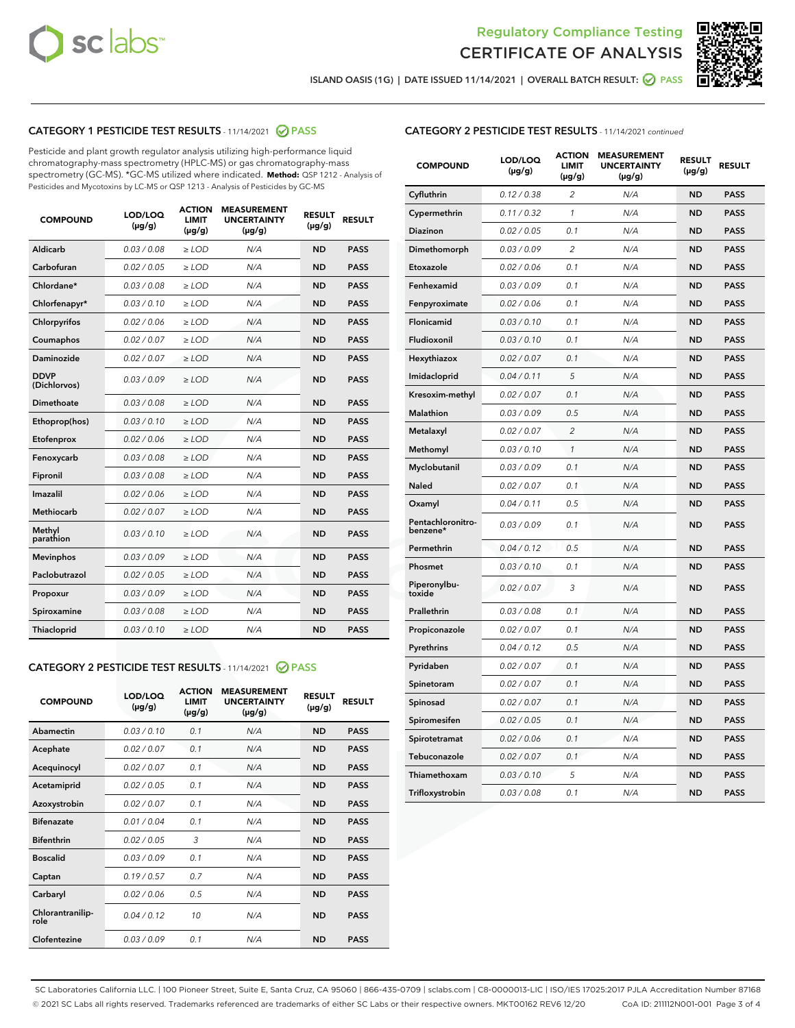



ISLAND OASIS (1G) | DATE ISSUED 11/14/2021 | OVERALL BATCH RESULT: ● PASS

# CATEGORY 1 PESTICIDE TEST RESULTS - 11/14/2021 2 PASS

Pesticide and plant growth regulator analysis utilizing high-performance liquid chromatography-mass spectrometry (HPLC-MS) or gas chromatography-mass spectrometry (GC-MS). \*GC-MS utilized where indicated. **Method:** QSP 1212 - Analysis of Pesticides and Mycotoxins by LC-MS or QSP 1213 - Analysis of Pesticides by GC-MS

| 0.03 / 0.08<br><b>ND</b><br><b>PASS</b><br>Aldicarb<br>$\ge$ LOD<br>N/A<br>Carbofuran<br>0.02 / 0.05<br>$\ge$ LOD<br>N/A<br><b>ND</b><br><b>PASS</b><br>Chlordane*<br>0.03 / 0.08<br>$\ge$ LOD<br>N/A<br><b>ND</b><br><b>PASS</b><br>Chlorfenapyr*<br>0.03/0.10<br>$\geq$ LOD<br>N/A<br><b>ND</b><br><b>PASS</b><br>Chlorpyrifos<br>0.02 / 0.06<br>N/A<br><b>ND</b><br><b>PASS</b><br>$\ge$ LOD<br>Coumaphos<br>0.02 / 0.07<br>N/A<br><b>ND</b><br><b>PASS</b><br>$\ge$ LOD<br>Daminozide<br>0.02 / 0.07<br>N/A<br><b>ND</b><br><b>PASS</b><br>$\ge$ LOD<br><b>DDVP</b><br>0.03/0.09<br>$>$ LOD<br>N/A<br><b>ND</b><br><b>PASS</b><br>(Dichlorvos)<br>Dimethoate<br>0.03 / 0.08<br>$\ge$ LOD<br><b>ND</b><br><b>PASS</b><br>N/A<br>0.03/0.10<br>N/A<br><b>ND</b><br><b>PASS</b><br>Ethoprop(hos)<br>$>$ LOD<br>0.02 / 0.06<br>N/A<br><b>ND</b><br><b>PASS</b><br>$\ge$ LOD<br>Etofenprox<br>Fenoxycarb<br>0.03 / 0.08<br>$\ge$ LOD<br>N/A<br><b>ND</b><br><b>PASS</b><br>0.03 / 0.08<br>$\ge$ LOD<br>N/A<br><b>ND</b><br><b>PASS</b><br>Fipronil<br>Imazalil<br>0.02 / 0.06<br>$>$ LOD<br>N/A<br><b>ND</b><br><b>PASS</b><br><b>Methiocarb</b><br>0.02 / 0.07<br>$\ge$ LOD<br>N/A<br><b>ND</b><br><b>PASS</b><br>Methyl<br>0.03/0.10<br>N/A<br><b>ND</b><br><b>PASS</b><br>$\ge$ LOD<br>parathion<br>0.03/0.09<br><b>Mevinphos</b><br>$\ge$ LOD<br>N/A<br><b>ND</b><br><b>PASS</b><br>Paclobutrazol<br>0.02 / 0.05<br>$>$ LOD<br>N/A<br><b>ND</b><br><b>PASS</b><br>0.03/0.09<br>N/A<br>$\ge$ LOD<br><b>ND</b><br><b>PASS</b><br>Propoxur<br>0.03 / 0.08<br><b>ND</b><br><b>PASS</b><br>Spiroxamine<br>$\ge$ LOD<br>N/A<br>Thiacloprid<br>0.03/0.10<br>$\ge$ LOD<br>N/A<br><b>ND</b><br><b>PASS</b> | <b>COMPOUND</b> | LOD/LOQ<br>$(\mu g/g)$ | <b>ACTION</b><br><b>LIMIT</b><br>$(\mu g/g)$ | <b>MEASUREMENT</b><br><b>UNCERTAINTY</b><br>$(\mu g/g)$ | <b>RESULT</b><br>$(\mu g/g)$ | <b>RESULT</b> |
|-----------------------------------------------------------------------------------------------------------------------------------------------------------------------------------------------------------------------------------------------------------------------------------------------------------------------------------------------------------------------------------------------------------------------------------------------------------------------------------------------------------------------------------------------------------------------------------------------------------------------------------------------------------------------------------------------------------------------------------------------------------------------------------------------------------------------------------------------------------------------------------------------------------------------------------------------------------------------------------------------------------------------------------------------------------------------------------------------------------------------------------------------------------------------------------------------------------------------------------------------------------------------------------------------------------------------------------------------------------------------------------------------------------------------------------------------------------------------------------------------------------------------------------------------------------------------------------------------------------------------------------------------------------------------------------------------------|-----------------|------------------------|----------------------------------------------|---------------------------------------------------------|------------------------------|---------------|
|                                                                                                                                                                                                                                                                                                                                                                                                                                                                                                                                                                                                                                                                                                                                                                                                                                                                                                                                                                                                                                                                                                                                                                                                                                                                                                                                                                                                                                                                                                                                                                                                                                                                                                     |                 |                        |                                              |                                                         |                              |               |
|                                                                                                                                                                                                                                                                                                                                                                                                                                                                                                                                                                                                                                                                                                                                                                                                                                                                                                                                                                                                                                                                                                                                                                                                                                                                                                                                                                                                                                                                                                                                                                                                                                                                                                     |                 |                        |                                              |                                                         |                              |               |
|                                                                                                                                                                                                                                                                                                                                                                                                                                                                                                                                                                                                                                                                                                                                                                                                                                                                                                                                                                                                                                                                                                                                                                                                                                                                                                                                                                                                                                                                                                                                                                                                                                                                                                     |                 |                        |                                              |                                                         |                              |               |
|                                                                                                                                                                                                                                                                                                                                                                                                                                                                                                                                                                                                                                                                                                                                                                                                                                                                                                                                                                                                                                                                                                                                                                                                                                                                                                                                                                                                                                                                                                                                                                                                                                                                                                     |                 |                        |                                              |                                                         |                              |               |
|                                                                                                                                                                                                                                                                                                                                                                                                                                                                                                                                                                                                                                                                                                                                                                                                                                                                                                                                                                                                                                                                                                                                                                                                                                                                                                                                                                                                                                                                                                                                                                                                                                                                                                     |                 |                        |                                              |                                                         |                              |               |
|                                                                                                                                                                                                                                                                                                                                                                                                                                                                                                                                                                                                                                                                                                                                                                                                                                                                                                                                                                                                                                                                                                                                                                                                                                                                                                                                                                                                                                                                                                                                                                                                                                                                                                     |                 |                        |                                              |                                                         |                              |               |
|                                                                                                                                                                                                                                                                                                                                                                                                                                                                                                                                                                                                                                                                                                                                                                                                                                                                                                                                                                                                                                                                                                                                                                                                                                                                                                                                                                                                                                                                                                                                                                                                                                                                                                     |                 |                        |                                              |                                                         |                              |               |
|                                                                                                                                                                                                                                                                                                                                                                                                                                                                                                                                                                                                                                                                                                                                                                                                                                                                                                                                                                                                                                                                                                                                                                                                                                                                                                                                                                                                                                                                                                                                                                                                                                                                                                     |                 |                        |                                              |                                                         |                              |               |
|                                                                                                                                                                                                                                                                                                                                                                                                                                                                                                                                                                                                                                                                                                                                                                                                                                                                                                                                                                                                                                                                                                                                                                                                                                                                                                                                                                                                                                                                                                                                                                                                                                                                                                     |                 |                        |                                              |                                                         |                              |               |
|                                                                                                                                                                                                                                                                                                                                                                                                                                                                                                                                                                                                                                                                                                                                                                                                                                                                                                                                                                                                                                                                                                                                                                                                                                                                                                                                                                                                                                                                                                                                                                                                                                                                                                     |                 |                        |                                              |                                                         |                              |               |
|                                                                                                                                                                                                                                                                                                                                                                                                                                                                                                                                                                                                                                                                                                                                                                                                                                                                                                                                                                                                                                                                                                                                                                                                                                                                                                                                                                                                                                                                                                                                                                                                                                                                                                     |                 |                        |                                              |                                                         |                              |               |
|                                                                                                                                                                                                                                                                                                                                                                                                                                                                                                                                                                                                                                                                                                                                                                                                                                                                                                                                                                                                                                                                                                                                                                                                                                                                                                                                                                                                                                                                                                                                                                                                                                                                                                     |                 |                        |                                              |                                                         |                              |               |
|                                                                                                                                                                                                                                                                                                                                                                                                                                                                                                                                                                                                                                                                                                                                                                                                                                                                                                                                                                                                                                                                                                                                                                                                                                                                                                                                                                                                                                                                                                                                                                                                                                                                                                     |                 |                        |                                              |                                                         |                              |               |
|                                                                                                                                                                                                                                                                                                                                                                                                                                                                                                                                                                                                                                                                                                                                                                                                                                                                                                                                                                                                                                                                                                                                                                                                                                                                                                                                                                                                                                                                                                                                                                                                                                                                                                     |                 |                        |                                              |                                                         |                              |               |
|                                                                                                                                                                                                                                                                                                                                                                                                                                                                                                                                                                                                                                                                                                                                                                                                                                                                                                                                                                                                                                                                                                                                                                                                                                                                                                                                                                                                                                                                                                                                                                                                                                                                                                     |                 |                        |                                              |                                                         |                              |               |
|                                                                                                                                                                                                                                                                                                                                                                                                                                                                                                                                                                                                                                                                                                                                                                                                                                                                                                                                                                                                                                                                                                                                                                                                                                                                                                                                                                                                                                                                                                                                                                                                                                                                                                     |                 |                        |                                              |                                                         |                              |               |
|                                                                                                                                                                                                                                                                                                                                                                                                                                                                                                                                                                                                                                                                                                                                                                                                                                                                                                                                                                                                                                                                                                                                                                                                                                                                                                                                                                                                                                                                                                                                                                                                                                                                                                     |                 |                        |                                              |                                                         |                              |               |
|                                                                                                                                                                                                                                                                                                                                                                                                                                                                                                                                                                                                                                                                                                                                                                                                                                                                                                                                                                                                                                                                                                                                                                                                                                                                                                                                                                                                                                                                                                                                                                                                                                                                                                     |                 |                        |                                              |                                                         |                              |               |
|                                                                                                                                                                                                                                                                                                                                                                                                                                                                                                                                                                                                                                                                                                                                                                                                                                                                                                                                                                                                                                                                                                                                                                                                                                                                                                                                                                                                                                                                                                                                                                                                                                                                                                     |                 |                        |                                              |                                                         |                              |               |
|                                                                                                                                                                                                                                                                                                                                                                                                                                                                                                                                                                                                                                                                                                                                                                                                                                                                                                                                                                                                                                                                                                                                                                                                                                                                                                                                                                                                                                                                                                                                                                                                                                                                                                     |                 |                        |                                              |                                                         |                              |               |
|                                                                                                                                                                                                                                                                                                                                                                                                                                                                                                                                                                                                                                                                                                                                                                                                                                                                                                                                                                                                                                                                                                                                                                                                                                                                                                                                                                                                                                                                                                                                                                                                                                                                                                     |                 |                        |                                              |                                                         |                              |               |

## CATEGORY 2 PESTICIDE TEST RESULTS - 11/14/2021 @ PASS

| <b>COMPOUND</b>          | LOD/LOO<br>$(\mu g/g)$ | <b>ACTION</b><br>LIMIT<br>$(\mu g/g)$ | <b>MEASUREMENT</b><br><b>UNCERTAINTY</b><br>$(\mu g/g)$ | <b>RESULT</b><br>$(\mu g/g)$ | <b>RESULT</b> |  |
|--------------------------|------------------------|---------------------------------------|---------------------------------------------------------|------------------------------|---------------|--|
| Abamectin                | 0.03/0.10              | 0.1                                   | N/A                                                     | <b>ND</b>                    | <b>PASS</b>   |  |
| Acephate                 | 0.02/0.07              | 0.1                                   | N/A                                                     | <b>ND</b>                    | <b>PASS</b>   |  |
| Acequinocyl              | 0.02/0.07              | 0.1                                   | N/A                                                     | <b>ND</b>                    | <b>PASS</b>   |  |
| Acetamiprid              | 0.02 / 0.05            | 0.1                                   | N/A                                                     | <b>ND</b>                    | <b>PASS</b>   |  |
| Azoxystrobin             | 0.02/0.07              | 0.1                                   | N/A                                                     | <b>ND</b>                    | <b>PASS</b>   |  |
| <b>Bifenazate</b>        | 0.01 / 0.04            | 0.1                                   | N/A                                                     | <b>ND</b>                    | <b>PASS</b>   |  |
| <b>Bifenthrin</b>        | 0.02 / 0.05            | 3                                     | N/A                                                     | <b>ND</b>                    | <b>PASS</b>   |  |
| <b>Boscalid</b>          | 0.03/0.09              | 0.1                                   | N/A                                                     | <b>ND</b>                    | <b>PASS</b>   |  |
| Captan                   | 0.19/0.57              | 0.7                                   | N/A                                                     | <b>ND</b>                    | <b>PASS</b>   |  |
| Carbaryl                 | 0.02/0.06              | 0.5                                   | N/A                                                     | <b>ND</b>                    | <b>PASS</b>   |  |
| Chlorantranilip-<br>role | 0.04/0.12              | 10                                    | N/A                                                     | <b>ND</b>                    | <b>PASS</b>   |  |
| Clofentezine             | 0.03/0.09              | 0.1                                   | N/A                                                     | <b>ND</b>                    | <b>PASS</b>   |  |

# CATEGORY 2 PESTICIDE TEST RESULTS - 11/14/2021 continued

| <b>COMPOUND</b>               | LOD/LOQ<br>(µg/g) | <b>ACTION</b><br>LIMIT<br>$(\mu g/g)$ | <b>MEASUREMENT</b><br><b>UNCERTAINTY</b><br>$(\mu g/g)$ | <b>RESULT</b><br>(µg/g) | <b>RESULT</b> |
|-------------------------------|-------------------|---------------------------------------|---------------------------------------------------------|-------------------------|---------------|
| Cyfluthrin                    | 0.12 / 0.38       | $\overline{c}$                        | N/A                                                     | ND                      | <b>PASS</b>   |
| Cypermethrin                  | 0.11 / 0.32       | $\mathcal{I}$                         | N/A                                                     | ND                      | <b>PASS</b>   |
| <b>Diazinon</b>               | 0.02 / 0.05       | 0.1                                   | N/A                                                     | <b>ND</b>               | <b>PASS</b>   |
| Dimethomorph                  | 0.03 / 0.09       | $\overline{2}$                        | N/A                                                     | ND                      | <b>PASS</b>   |
| Etoxazole                     | 0.02 / 0.06       | 0.1                                   | N/A                                                     | ND                      | <b>PASS</b>   |
| Fenhexamid                    | 0.03 / 0.09       | 0.1                                   | N/A                                                     | <b>ND</b>               | <b>PASS</b>   |
| Fenpyroximate                 | 0.02 / 0.06       | 0.1                                   | N/A                                                     | <b>ND</b>               | <b>PASS</b>   |
| Flonicamid                    | 0.03 / 0.10       | 0.1                                   | N/A                                                     | ND                      | <b>PASS</b>   |
| Fludioxonil                   | 0.03 / 0.10       | 0.1                                   | N/A                                                     | ND                      | <b>PASS</b>   |
| Hexythiazox                   | 0.02 / 0.07       | 0.1                                   | N/A                                                     | ND                      | <b>PASS</b>   |
| Imidacloprid                  | 0.04 / 0.11       | 5                                     | N/A                                                     | ND                      | <b>PASS</b>   |
| Kresoxim-methyl               | 0.02 / 0.07       | 0.1                                   | N/A                                                     | ND                      | <b>PASS</b>   |
| <b>Malathion</b>              | 0.03 / 0.09       | 0.5                                   | N/A                                                     | <b>ND</b>               | <b>PASS</b>   |
| Metalaxyl                     | 0.02 / 0.07       | $\overline{c}$                        | N/A                                                     | ND                      | <b>PASS</b>   |
| Methomyl                      | 0.03 / 0.10       | 1                                     | N/A                                                     | <b>ND</b>               | <b>PASS</b>   |
| Myclobutanil                  | 0.03 / 0.09       | 0.1                                   | N/A                                                     | ND                      | <b>PASS</b>   |
| Naled                         | 0.02 / 0.07       | 0.1                                   | N/A                                                     | ND                      | <b>PASS</b>   |
| Oxamyl                        | 0.04 / 0.11       | 0.5                                   | N/A                                                     | ND                      | <b>PASS</b>   |
| Pentachloronitro-<br>benzene* | 0.03 / 0.09       | 0.1                                   | N/A                                                     | ND                      | <b>PASS</b>   |
| Permethrin                    | 0.04 / 0.12       | 0.5                                   | N/A                                                     | ND                      | <b>PASS</b>   |
| Phosmet                       | 0.03 / 0.10       | 0.1                                   | N/A                                                     | ND                      | <b>PASS</b>   |
| Piperonylbu-<br>toxide        | 0.02 / 0.07       | 3                                     | N/A                                                     | <b>ND</b>               | <b>PASS</b>   |
| Prallethrin                   | 0.03 / 0.08       | 0.1                                   | N/A                                                     | ND                      | <b>PASS</b>   |
| Propiconazole                 | 0.02 / 0.07       | 0.1                                   | N/A                                                     | ND                      | <b>PASS</b>   |
| Pyrethrins                    | 0.04 / 0.12       | 0.5                                   | N/A                                                     | ND                      | <b>PASS</b>   |
| Pyridaben                     | 0.02 / 0.07       | 0.1                                   | N/A                                                     | ND                      | <b>PASS</b>   |
| Spinetoram                    | 0.02 / 0.07       | 0.1                                   | N/A                                                     | ND                      | <b>PASS</b>   |
| Spinosad                      | 0.02 / 0.07       | 0.1                                   | N/A                                                     | ND                      | <b>PASS</b>   |
| Spiromesifen                  | 0.02 / 0.05       | 0.1                                   | N/A                                                     | <b>ND</b>               | <b>PASS</b>   |
| Spirotetramat                 | 0.02 / 0.06       | 0.1                                   | N/A                                                     | ND                      | <b>PASS</b>   |
| Tebuconazole                  | 0.02 / 0.07       | 0.1                                   | N/A                                                     | ND                      | PASS          |
| Thiamethoxam                  | 0.03 / 0.10       | 5                                     | N/A                                                     | ND                      | <b>PASS</b>   |
| Trifloxystrobin               | 0.03 / 0.08       | 0.1                                   | N/A                                                     | <b>ND</b>               | <b>PASS</b>   |

SC Laboratories California LLC. | 100 Pioneer Street, Suite E, Santa Cruz, CA 95060 | 866-435-0709 | sclabs.com | C8-0000013-LIC | ISO/IES 17025:2017 PJLA Accreditation Number 87168 © 2021 SC Labs all rights reserved. Trademarks referenced are trademarks of either SC Labs or their respective owners. MKT00162 REV6 12/20 CoA ID: 211112N001-001 Page 3 of 4